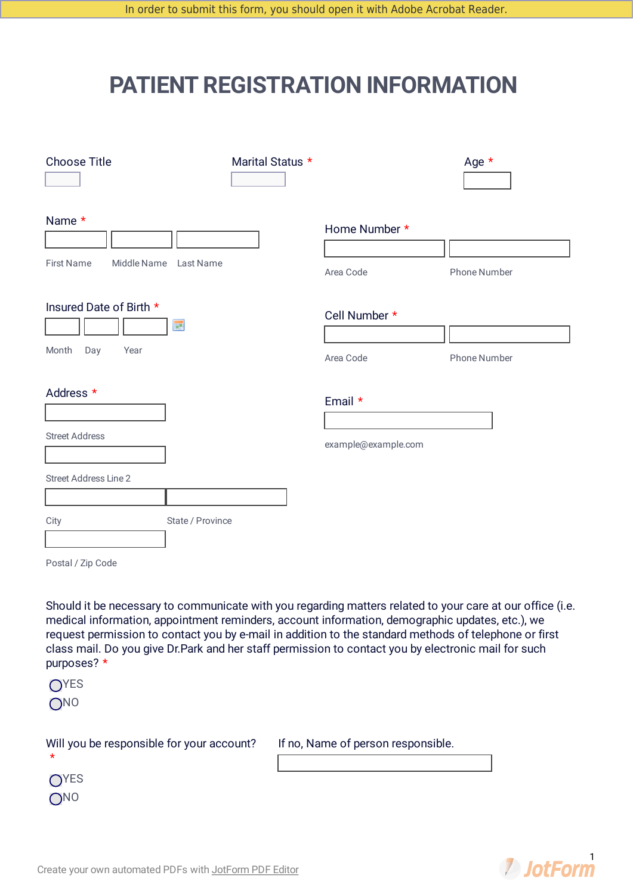## **PATIENT REGISTRATION INFORMATION**

| <b>Choose Title</b><br>$\mathbf{r}$                                                                                                                                                                                                                                                                                                                                                                                                                                                                     | Marital Status *<br>$\blacktriangleright$ |                                    | Age $*$             |
|---------------------------------------------------------------------------------------------------------------------------------------------------------------------------------------------------------------------------------------------------------------------------------------------------------------------------------------------------------------------------------------------------------------------------------------------------------------------------------------------------------|-------------------------------------------|------------------------------------|---------------------|
| Name *<br><b>First Name</b><br>Middle Name Last Name                                                                                                                                                                                                                                                                                                                                                                                                                                                    |                                           | Home Number *<br>Area Code         | <b>Phone Number</b> |
| Insured Date of Birth *<br>Ħ<br>Month<br>Day<br>Year                                                                                                                                                                                                                                                                                                                                                                                                                                                    |                                           | Cell Number *<br>Area Code         | Phone Number        |
| Address *<br><b>Street Address</b><br><b>Street Address Line 2</b><br>State / Province<br>City                                                                                                                                                                                                                                                                                                                                                                                                          |                                           | Email *<br>example@example.com     |                     |
| Postal / Zip Code<br>Should it be necessary to communicate with you regarding matters related to your care at our office (i.e.<br>medical information, appointment reminders, account information, demographic updates, etc.), we<br>request permission to contact you by e-mail in addition to the standard methods of telephone or first<br>class mail. Do you give Dr.Park and her staff permission to contact you by electronic mail for such<br>purposes? *<br>O <sub>YES</sub><br>O <sub>NO</sub> |                                           |                                    |                     |
| Will you be responsible for your account?                                                                                                                                                                                                                                                                                                                                                                                                                                                               |                                           | If no, Name of person responsible. |                     |



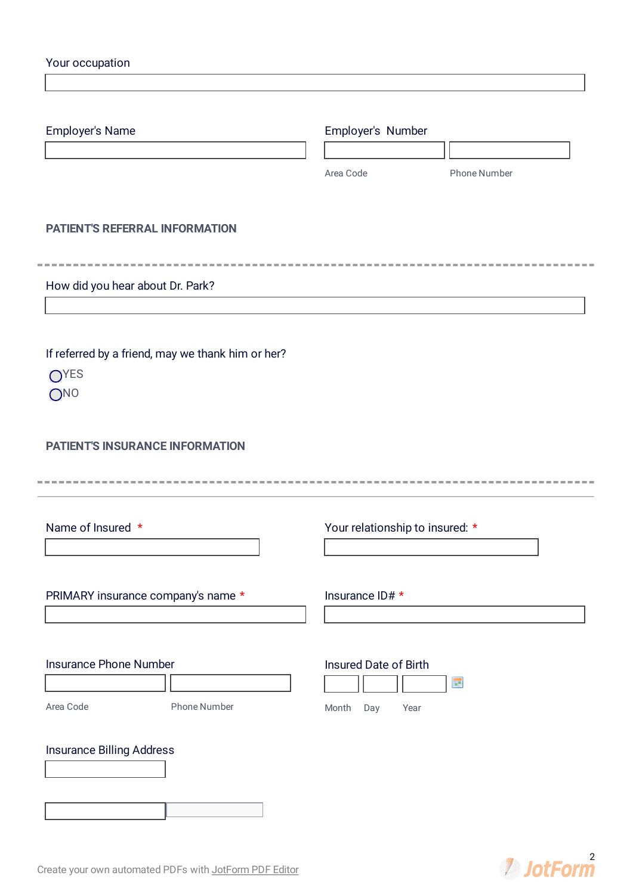| Employer's Name                                           | Employer's Number               |              |
|-----------------------------------------------------------|---------------------------------|--------------|
|                                                           |                                 |              |
|                                                           | Area Code                       | Phone Number |
| <b>PATIENT'S REFERRAL INFORMATION</b>                     |                                 |              |
|                                                           |                                 |              |
| How did you hear about Dr. Park?                          |                                 |              |
|                                                           |                                 |              |
|                                                           |                                 |              |
| If referred by a friend, may we thank him or her?<br>OYES |                                 |              |
| ONO                                                       |                                 |              |
|                                                           |                                 |              |
| <b>PATIENT'S INSURANCE INFORMATION</b>                    |                                 |              |
|                                                           |                                 |              |
|                                                           |                                 |              |
| Name of Insured *                                         | Your relationship to insured: * |              |
|                                                           |                                 |              |
| PRIMARY insurance company's name *                        | Insurance ID# *                 |              |
|                                                           |                                 |              |
|                                                           |                                 |              |
| Insurance Phone Number                                    | Insured Date of Birth           |              |
| <b>Phone Number</b><br>Area Code                          |                                 | œ            |
|                                                           | Month<br>Day<br>Year            |              |
|                                                           |                                 |              |
| Insurance Billing Address                                 |                                 |              |

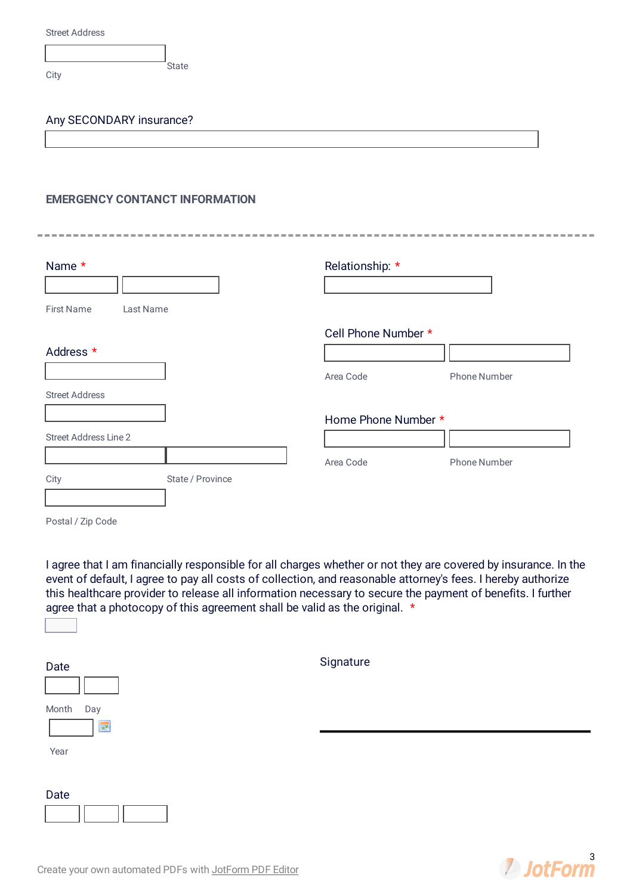|  | <b>Street Address</b> |
|--|-----------------------|
|--|-----------------------|

**City** 

## Any SECONDARY insurance?

## **EMERGENCY CONTANCT INFORMATION**

| Name *                         | Relationship: *     |                     |
|--------------------------------|---------------------|---------------------|
|                                |                     |                     |
| <b>First Name</b><br>Last Name |                     |                     |
|                                | Cell Phone Number * |                     |
| Address *                      |                     |                     |
|                                | Area Code           | Phone Number        |
| <b>Street Address</b>          |                     |                     |
|                                | Home Phone Number * |                     |
| Street Address Line 2          |                     |                     |
|                                | Area Code           | <b>Phone Number</b> |
| State / Province<br>City       |                     |                     |

Postal / Zip Code

 $\overline{\mathbf{r}}$ 

I agree that I am financially responsible for all charges whether or not they are covered by insurance. In the event of default, I agree to pay all costs of collection, and reasonable attorney's fees. I hereby authorize this healthcare provider to release all information necessary to secure the payment of benefits. I further agree that a photocopy of this agreement shall be valid as the original. \*

| Date                       | Signature |
|----------------------------|-----------|
| Month<br>Day<br><b>III</b> |           |
| Year                       |           |
| Date                       |           |

**2** JotForm